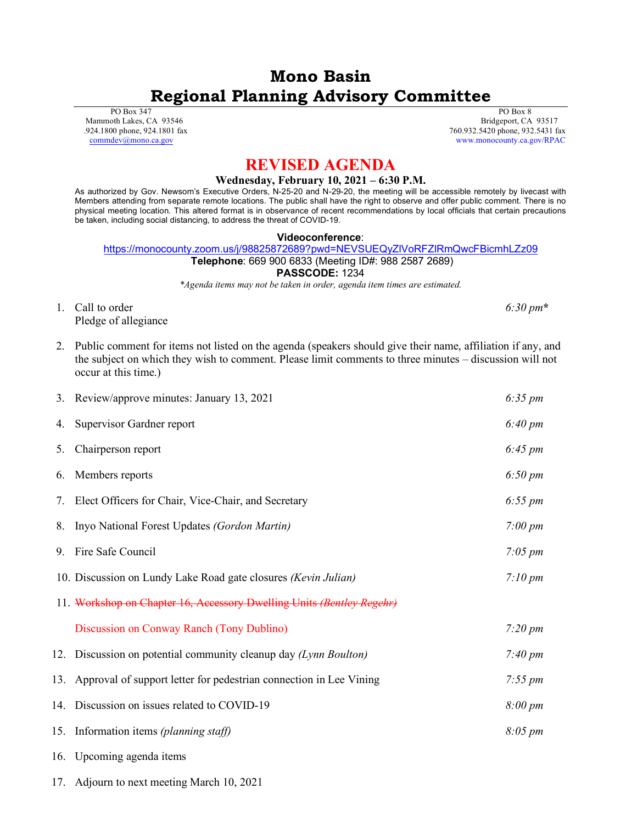# **Mono Basin Regional Planning Advisory Committee**

 PO Box 347 Mammoth Lakes, CA 93546 .924.1800 phone, 924.1801 fax [commdev@mono.ca.gov](mailto:commdev@mono.ca.gov)

 PO Box 8 Bridgeport, CA 93517 760.932.5420 phone, 932.5431 fax www.monocounty.ca.gov/RPAC

## **REVISED AGENDA**

### **Wednesday, February 10, 2021 – 6:30 P.M.**

As authorized by Gov. Newsom's Executive Orders, N-25-20 and N-29-20, the meeting will be accessible remotely by livecast with Members attending from separate remote locations. The public shall have the right to observe and offer public comment. There is no physical meeting location. This altered format is in observance of recent recommendations by local officials that certain precautions be taken, including social distancing, to address the threat of COVID-19.

#### **Videoconference**:

<https://monocounty.zoom.us/j/98825872689?pwd=NEVSUEQyZlVoRFZlRmQwcFBicmhLZz09> **Telephone**: 669 900 6833 (Meeting ID#: 988 2587 2689) **PASSCODE:** 1234

*\*Agenda items may not be taken in order, agenda item times are estimated.*

- 1. Call to order *6:30 pm***\*** Pledge of allegiance
- 2. Public comment for items not listed on the agenda (speakers should give their name, affiliation if any, and the subject on which they wish to comment. Please limit comments to three minutes – discussion will not occur at this time.)

|    | 3. Review/approve minutes: January 13, 2021                            | $6:35 \, \text{pm}$ |
|----|------------------------------------------------------------------------|---------------------|
| 4. | Supervisor Gardner report                                              | $6:40 \, \text{pm}$ |
| 5. | Chairperson report                                                     | $6:45 \, \text{pm}$ |
| 6. | Members reports                                                        | $6:50 \, \text{pm}$ |
| 7. | Elect Officers for Chair, Vice-Chair, and Secretary                    | $6:55 \, pm$        |
| 8. | Inyo National Forest Updates (Gordon Martin)                           | $7:00 \, \text{pm}$ |
|    | 9. Fire Safe Council                                                   | $7:05 \, \text{pm}$ |
|    | 10. Discussion on Lundy Lake Road gate closures (Kevin Julian)         | $7:10 \, \text{pm}$ |
|    | 11. Workshop on Chapter 16, Accessory Dwelling Units (Bentley Regehr)  |                     |
|    | Discussion on Conway Ranch (Tony Dublino)                              | $7:20 \, \text{pm}$ |
|    | 12. Discussion on potential community cleanup day (Lynn Boulton)       | $7:40 \, \text{pm}$ |
|    | 13. Approval of support letter for pedestrian connection in Lee Vining | $7:55 \, pm$        |
|    | 14. Discussion on issues related to COVID-19                           | $8:00 \, \text{pm}$ |
|    | 15. Information items (planning staff)                                 | $8:05 \, \text{pm}$ |
|    | 16. Upcoming agenda items                                              |                     |

17. Adjourn to next meeting March 10, 2021